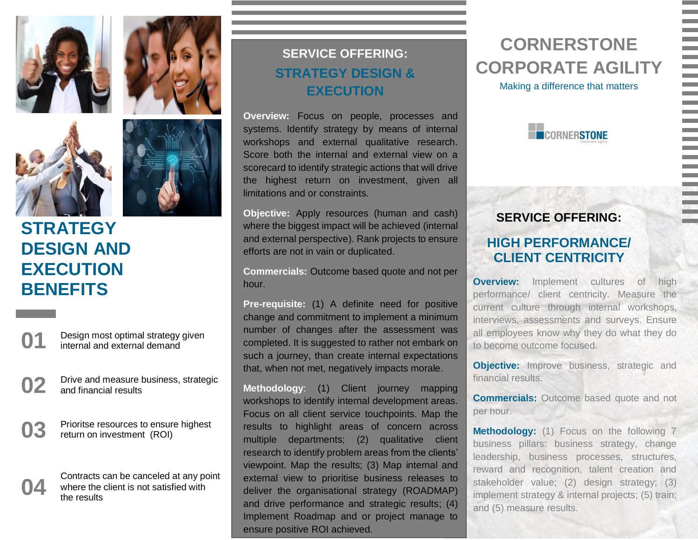





# **STRATEGY DESIGN AND EXECUTION BENEFITS**

**01** Design most optimal strategy given internal and external demand

- **02** Drive and measure business, strategic and financial results
- **03** Prioritse resources to ensure highest return on investment (ROI)



### **SERVICE OFFERING: STRATEGY DESIGN & EXECUTION**

**Overview:** Focus on people, processes and systems. Identify strategy by means of internal workshops and external qualitative research. Score both the internal and external view on a scorecard to identify strategic actions that will drive the highest return on investment, given all limitations and or constraints.

**Objective:** Apply resources (human and cash) where the biggest impact will be achieved (internal and external perspective). Rank projects to ensure efforts are not in vain or duplicated.

**Commercials:** Outcome based quote and not per hour.

**Pre-requisite:** (1) A definite need for positive change and commitment to implement a minimum number of changes after the assessment was completed. It is suggested to rather not embark on such a journey, than create internal expectations that, when not met, negatively impacts morale.

**Methodology**: (1) Client journey mapping workshops to identify internal development areas. Focus on all client service touchpoints. Map the results to highlight areas of concern across multiple departments; (2) qualitative client research to identify problem areas from the clients' viewpoint. Map the results; (3) Map internal and external view to prioritise business releases to deliver the organisational strategy (ROADMAP) and drive performance and strategic results; (4) Implement Roadmap and or project manage to ensure positive ROI achieved.

# **CORNERSTONE CORPORATE AGILITY**

Making a difference that matters



### **SERVICE OFFERING:**

### **HIGH PERFORMANCE/ CLIENT CENTRICITY**

**Overview:** Implement cultures of high performance/ client centricity. Measure the current culture through internal workshops, interviews, assessments and surveys. Ensure all employees know why they do what they do to become outcome focused.

**Objective:** Improve business, strategic and financial results.

**Commercials:** Outcome based quote and not per hour.

**Methodology:** (1) Focus on the following 7 business pillars: business strategy, change leadership, business processes, structures, reward and recognition, talent creation and stakeholder value; (2) design strategy; (3) implement strategy & internal projects; (5) train; and (5) measure results.